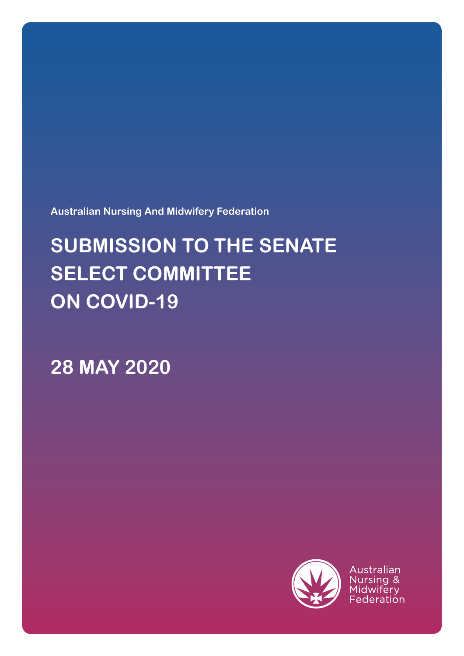**Australian Nursing And Midwifery Federation**

# **SUBMISSION TO THE SENATE SELECT COMMITTEE ON COVID-19**

**28 MAY 2020**



Australian Nursing & Midwifery Federation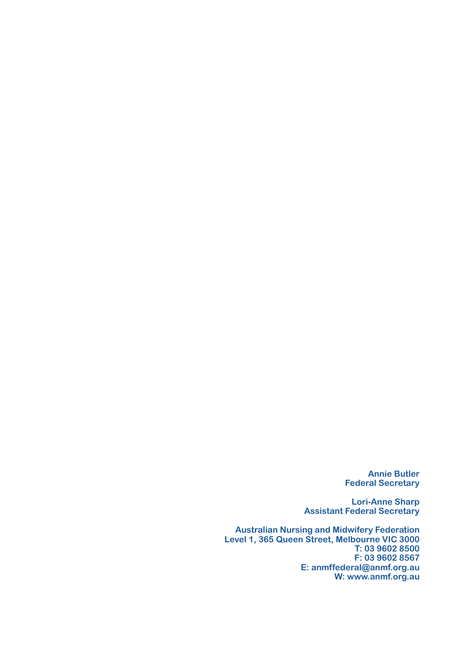**Annie Butler Federal Secretary**

**Lori-Anne Sharp Assistant Federal Secretary**

**Australian Nursing and Midwifery Federation Level 1, 365 Queen Street, Melbourne VIC 3000 T: 03 9602 8500 F: 03 9602 8567 E: anmffederal@anmf.org.au W: www.anmf.org.au**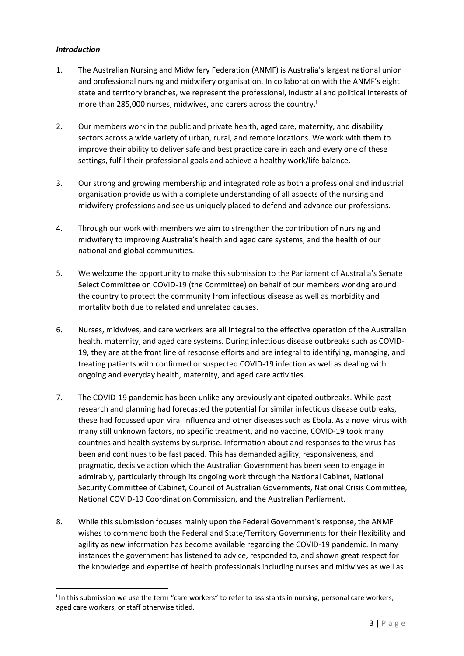# *Introduction*

- 1. The Australian Nursing and Midwifery Federation (ANMF) is Australia's largest national union and professional nursing and midwifery organisation. In collaboration with the ANMF's eight state and territory branches, we represent the professional, industrial and political interests of more than 285,000 nurses, m[i](#page-2-0)dwives, and carers across the country.<sup>1</sup>
- 2. Our members work in the public and private health, aged care, maternity, and disability sectors across a wide variety of urban, rural, and remote locations. We work with them to improve their ability to deliver safe and best practice care in each and every one of these settings, fulfil their professional goals and achieve a healthy work/life balance.
- 3. Our strong and growing membership and integrated role as both a professional and industrial organisation provide us with a complete understanding of all aspects of the nursing and midwifery professions and see us uniquely placed to defend and advance our professions.
- 4. Through our work with members we aim to strengthen the contribution of nursing and midwifery to improving Australia's health and aged care systems, and the health of our national and global communities.
- 5. We welcome the opportunity to make this submission to the Parliament of Australia's Senate Select Committee on COVID-19 (the Committee) on behalf of our members working around the country to protect the community from infectious disease as well as morbidity and mortality both due to related and unrelated causes.
- 6. Nurses, midwives, and care workers are all integral to the effective operation of the Australian health, maternity, and aged care systems. During infectious disease outbreaks such as COVID-19, they are at the front line of response efforts and are integral to identifying, managing, and treating patients with confirmed or suspected COVID-19 infection as well as dealing with ongoing and everyday health, maternity, and aged care activities.
- 7. The COVID-19 pandemic has been unlike any previously anticipated outbreaks. While past research and planning had forecasted the potential for similar infectious disease outbreaks, these had focussed upon viral influenza and other diseases such as Ebola. As a novel virus with many still unknown factors, no specific treatment, and no vaccine, COVID-19 took many countries and health systems by surprise. Information about and responses to the virus has been and continues to be fast paced. This has demanded agility, responsiveness, and pragmatic, decisive action which the Australian Government has been seen to engage in admirably, particularly through its ongoing work through the National Cabinet, National Security Committee of Cabinet, Council of Australian Governments, National Crisis Committee, National COVID-19 Coordination Commission, and the Australian Parliament.
- 8. While this submission focuses mainly upon the Federal Government's response, the ANMF wishes to commend both the Federal and State/Territory Governments for their flexibility and agility as new information has become available regarding the COVID-19 pandemic. In many instances the government has listened to advice, responded to, and shown great respect for the knowledge and expertise of health professionals including nurses and midwives as well as

<span id="page-2-0"></span><sup>&</sup>lt;sup>i</sup> In this submission we use the term "care workers" to refer to assistants in nursing, personal care workers, aged care workers, or staff otherwise titled.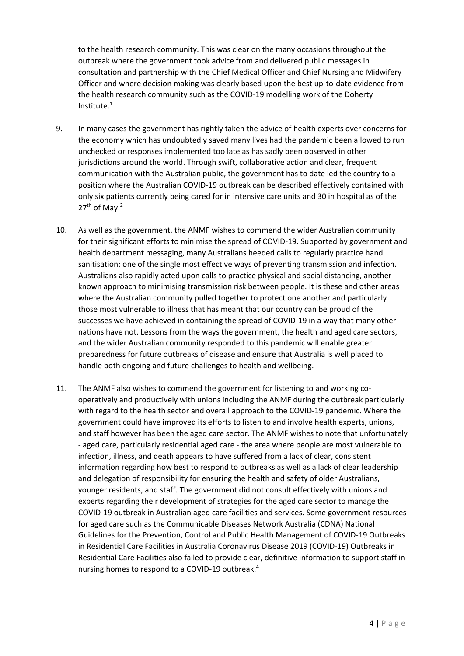to the health research community. This was clear on the many occasions throughout the outbreak where the government took advice from and delivered public messages in consultation and partnership with the Chief Medical Officer and Chief Nursing and Midwifery Officer and where decision making was clearly based upon the best up-to-date evidence from the health research community such as the COVID-19 modelling work of the Doherty  $Institute<sup>1</sup>$ 

- 9. In many cases the government has rightly taken the advice of health experts over concerns for the economy which has undoubtedly saved many lives had the pandemic been allowed to run unchecked or responses implemented too late as has sadly been observed in other jurisdictions around the world. Through swift, collaborative action and clear, frequent communication with the Australian public, the government has to date led the country to a position where the Australian COVID-19 outbreak can be described effectively contained with only six patients currently being cared for in intensive care units and 30 in hospital as of the  $27<sup>th</sup>$  of May.<sup>2</sup>
- 10. As well as the government, the ANMF wishes to commend the wider Australian community for their significant efforts to minimise the spread of COVID-19. Supported by government and health department messaging, many Australians heeded calls to regularly practice hand sanitisation; one of the single most effective ways of preventing transmission and infection. Australians also rapidly acted upon calls to practice physical and social distancing, another known approach to minimising transmission risk between people. It is these and other areas where the Australian community pulled together to protect one another and particularly those most vulnerable to illness that has meant that our country can be proud of the successes we have achieved in containing the spread of COVID-19 in a way that many other nations have not. Lessons from the ways the government, the health and aged care sectors, and the wider Australian community responded to this pandemic will enable greater preparedness for future outbreaks of disease and ensure that Australia is well placed to handle both ongoing and future challenges to health and wellbeing.
- 11. The ANMF also wishes to commend the government for listening to and working cooperatively and productively with unions including the ANMF during the outbreak particularly with regard to the health sector and overall approach to the COVID-19 pandemic. Where the government could have improved its efforts to listen to and involve health experts, unions, and staff however has been the aged care sector. The ANMF wishes to note that unfortunately - aged care, particularly residential aged care - the area where people are most vulnerable to infection, illness, and death appears to have suffered from a lack of clear, consistent information regarding how best to respond to outbreaks as well as a lack of clear leadership and delegation of responsibility for ensuring the health and safety of older Australians, younger residents, and staff. The government did not consult effectively with unions and experts regarding their development of strategies for the aged care sector to manage the COVID-19 outbreak in Australian aged care facilities and services. Some government resources for aged care such as the Communicable Diseases Network Australia (CDNA) National Guidelines for the Prevention, Control and Public Health Management of COVID-19 Outbreaks in Residential Care Facilities in Australia Coronavirus Disease 2019 (COVID-19) Outbreaks in Residential Care Facilities also failed to provide clear, definitive information to support staff in nursing homes to respond to a COVID-19 outbreak.4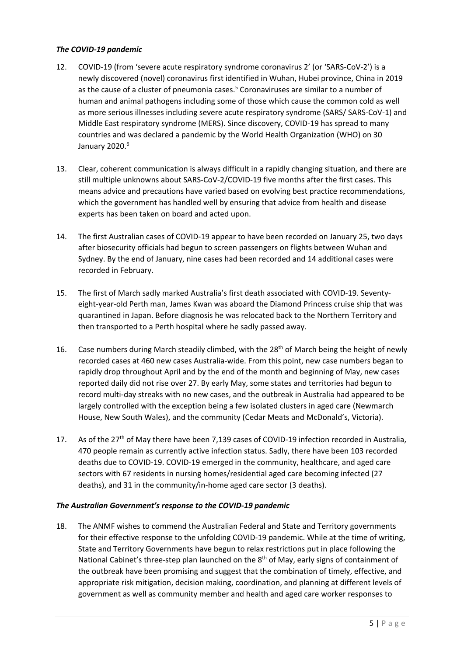# *The COVID-19 pandemic*

- 12. COVID-19 (from 'severe acute respiratory syndrome coronavirus 2' (or 'SARS-CoV-2') is a newly discovered (novel) coronavirus first identified in Wuhan, Hubei province, China in 2019 as the cause of a cluster of pneumonia cases.<sup>5</sup> Coronaviruses are similar to a number of human and animal pathogens including some of those which cause the common cold as well as more serious illnesses including severe acute respiratory syndrome (SARS/ SARS-CoV-1) and Middle East respiratory syndrome (MERS). Since discovery, COVID-19 has spread to many countries and was declared a pandemic by the World Health Organization (WHO) on 30 January 2020.<sup>6</sup>
- 13. Clear, coherent communication is always difficult in a rapidly changing situation, and there are still multiple unknowns about SARS-CoV-2/COVID-19 five months after the first cases. This means advice and precautions have varied based on evolving best practice recommendations, which the government has handled well by ensuring that advice from health and disease experts has been taken on board and acted upon.
- 14. The first Australian cases of COVID-19 appear to have been recorded on January 25, two days after biosecurity officials had begun to screen passengers on flights between Wuhan and Sydney. By the end of January, nine cases had been recorded and 14 additional cases were recorded in February.
- 15. The first of March sadly marked Australia's first death associated with COVID-19. Seventyeight-year-old Perth man, James Kwan was aboard the Diamond Princess cruise ship that was quarantined in Japan. Before diagnosis he was relocated back to the Northern Territory and then transported to a Perth hospital where he sadly passed away.
- 16. Case numbers during March steadily climbed, with the  $28<sup>th</sup>$  of March being the height of newly recorded cases at 460 new cases Australia-wide. From this point, new case numbers began to rapidly drop throughout April and by the end of the month and beginning of May, new cases reported daily did not rise over 27. By early May, some states and territories had begun to record multi-day streaks with no new cases, and the outbreak in Australia had appeared to be largely controlled with the exception being a few isolated clusters in aged care (Newmarch House, New South Wales), and the community (Cedar Meats and McDonald's, Victoria).
- 17. As of the 27<sup>th</sup> of May there have been 7.139 cases of COVID-19 infection recorded in Australia. 470 people remain as currently active infection status. Sadly, there have been 103 recorded deaths due to COVID-19. COVID-19 emerged in the community, healthcare, and aged care sectors with 67 residents in nursing homes/residential aged care becoming infected (27 deaths), and 31 in the community/in-home aged care sector (3 deaths).

#### *The Australian Government's response to the COVID-19 pandemic*

18. The ANMF wishes to commend the Australian Federal and State and Territory governments for their effective response to the unfolding COVID-19 pandemic. While at the time of writing, State and Territory Governments have begun to relax restrictions put in place following the National Cabinet's three-step plan launched on the  $8<sup>th</sup>$  of May, early signs of containment of the outbreak have been promising and suggest that the combination of timely, effective, and appropriate risk mitigation, decision making, coordination, and planning at different levels of government as well as community member and health and aged care worker responses to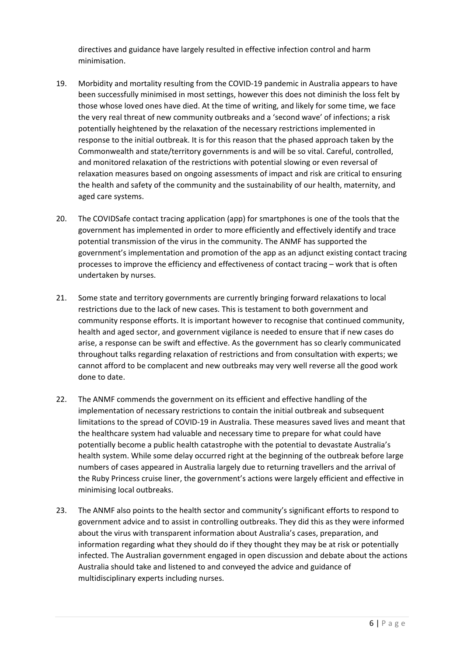directives and guidance have largely resulted in effective infection control and harm minimisation.

- 19. Morbidity and mortality resulting from the COVID-19 pandemic in Australia appears to have been successfully minimised in most settings, however this does not diminish the loss felt by those whose loved ones have died. At the time of writing, and likely for some time, we face the very real threat of new community outbreaks and a 'second wave' of infections; a risk potentially heightened by the relaxation of the necessary restrictions implemented in response to the initial outbreak. It is for this reason that the phased approach taken by the Commonwealth and state/territory governments is and will be so vital. Careful, controlled, and monitored relaxation of the restrictions with potential slowing or even reversal of relaxation measures based on ongoing assessments of impact and risk are critical to ensuring the health and safety of the community and the sustainability of our health, maternity, and aged care systems.
- 20. The COVIDSafe contact tracing application (app) for smartphones is one of the tools that the government has implemented in order to more efficiently and effectively identify and trace potential transmission of the virus in the community. The ANMF has supported the government's implementation and promotion of the app as an adjunct existing contact tracing processes to improve the efficiency and effectiveness of contact tracing – work that is often undertaken by nurses.
- 21. Some state and territory governments are currently bringing forward relaxations to local restrictions due to the lack of new cases. This is testament to both government and community response efforts. It is important however to recognise that continued community, health and aged sector, and government vigilance is needed to ensure that if new cases do arise, a response can be swift and effective. As the government has so clearly communicated throughout talks regarding relaxation of restrictions and from consultation with experts; we cannot afford to be complacent and new outbreaks may very well reverse all the good work done to date.
- 22. The ANMF commends the government on its efficient and effective handling of the implementation of necessary restrictions to contain the initial outbreak and subsequent limitations to the spread of COVID-19 in Australia. These measures saved lives and meant that the healthcare system had valuable and necessary time to prepare for what could have potentially become a public health catastrophe with the potential to devastate Australia's health system. While some delay occurred right at the beginning of the outbreak before large numbers of cases appeared in Australia largely due to returning travellers and the arrival of the Ruby Princess cruise liner, the government's actions were largely efficient and effective in minimising local outbreaks.
- 23. The ANMF also points to the health sector and community's significant efforts to respond to government advice and to assist in controlling outbreaks. They did this as they were informed about the virus with transparent information about Australia's cases, preparation, and information regarding what they should do if they thought they may be at risk or potentially infected. The Australian government engaged in open discussion and debate about the actions Australia should take and listened to and conveyed the advice and guidance of multidisciplinary experts including nurses.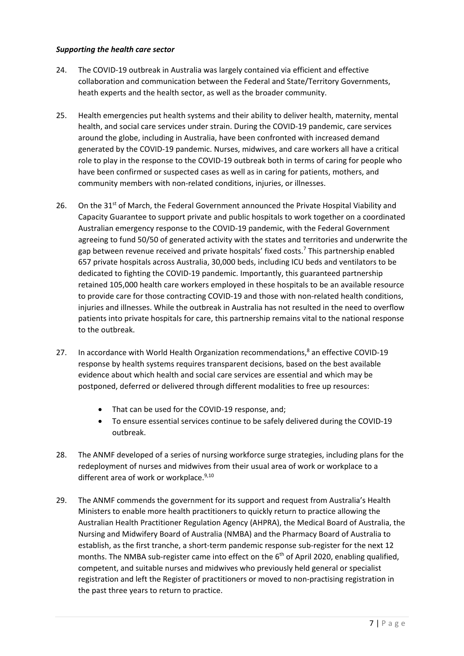# *Supporting the health care sector*

- 24. The COVID-19 outbreak in Australia was largely contained via efficient and effective collaboration and communication between the Federal and State/Territory Governments, heath experts and the health sector, as well as the broader community.
- 25. Health emergencies put health systems and their ability to deliver health, maternity, mental health, and social care services under strain. During the COVID-19 pandemic, care services around the globe, including in Australia, have been confronted with increased demand generated by the COVID-19 pandemic. Nurses, midwives, and care workers all have a critical role to play in the response to the COVID-19 outbreak both in terms of caring for people who have been confirmed or suspected cases as well as in caring for patients, mothers, and community members with non-related conditions, injuries, or illnesses.
- 26. On the 31 $st$  of March, the Federal Government announced the Private Hospital Viability and Capacity Guarantee to support private and public hospitals to work together on a coordinated Australian emergency response to the COVID-19 pandemic, with the Federal Government agreeing to fund 50/50 of generated activity with the states and territories and underwrite the gap between revenue received and private hospitals' fixed costs.<sup>7</sup> This partnership enabled 657 private hospitals across Australia, 30,000 beds, including ICU beds and ventilators to be dedicated to fighting the COVID-19 pandemic. Importantly, this guaranteed partnership retained 105,000 health care workers employed in these hospitals to be an available resource to provide care for those contracting COVID-19 and those with non-related health conditions, injuries and illnesses. While the outbreak in Australia has not resulted in the need to overflow patients into private hospitals for care, this partnership remains vital to the national response to the outbreak.
- 27. In accordance with World Health Organization recommendations,<sup>8</sup> an effective COVID-19 response by health systems requires transparent decisions, based on the best available evidence about which health and social care services are essential and which may be postponed, deferred or delivered through different modalities to free up resources:
	- That can be used for the COVID-19 response, and;
	- To ensure essential services continue to be safely delivered during the COVID-19 outbreak.
- 28. The ANMF developed of a series of nursing workforce surge strategies, including plans for the redeployment of nurses and midwives from their usual area of work or workplace to a different area of work or workplace. $9,10$
- 29. The ANMF commends the government for its support and request from Australia's Health Ministers to enable more health practitioners to quickly return to practice allowing the Australian Health Practitioner Regulation Agency (AHPRA), the Medical Board of Australia, the Nursing and Midwifery Board of Australia (NMBA) and the Pharmacy Board of Australia to establish, as the first tranche, a short-term pandemic response sub-register for the next 12 months. The NMBA sub-register came into effect on the 6<sup>th</sup> of April 2020, enabling qualified, competent, and suitable nurses and midwives who previously held general or specialist registration and left the Register of practitioners or moved to non-practising registration in the past three years to return to practice.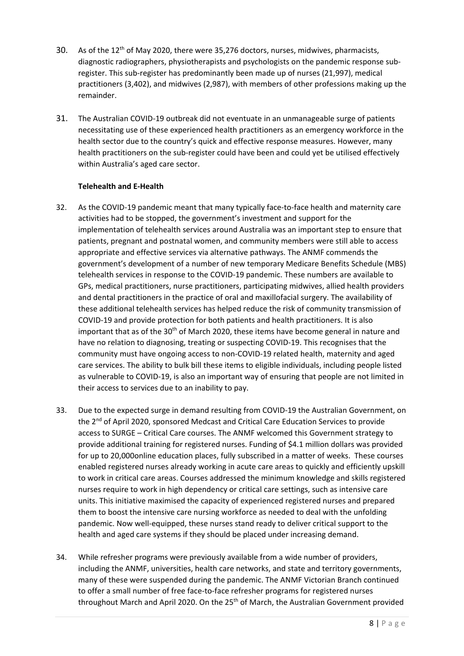- 30. As of the 12<sup>th</sup> of May 2020, there were 35,276 doctors, nurses, midwives, pharmacists, diagnostic radiographers, physiotherapists and psychologists on the pandemic response subregister. This sub-register has predominantly been made up of nurses (21,997), medical practitioners (3,402), and midwives (2,987), with members of other professions making up the remainder.
- 31. The Australian COVID-19 outbreak did not eventuate in an unmanageable surge of patients necessitating use of these experienced health practitioners as an emergency workforce in the health sector due to the country's quick and effective response measures. However, many health practitioners on the sub-register could have been and could yet be utilised effectively within Australia's aged care sector.

# **Telehealth and E-Health**

- 32. As the COVID-19 pandemic meant that many typically face-to-face health and maternity care activities had to be stopped, the government's investment and support for the implementation of telehealth services around Australia was an important step to ensure that patients, pregnant and postnatal women, and community members were still able to access appropriate and effective services via alternative pathways. The ANMF commends the government's development of a number of new temporary Medicare Benefits Schedule (MBS) telehealth services in response to the COVID-19 pandemic. These numbers are available to GPs, medical practitioners, nurse practitioners, participating midwives, allied health providers and dental practitioners in the practice of oral and maxillofacial surgery. The availability of these additional telehealth services has helped reduce the risk of community transmission of COVID-19 and provide protection for both patients and health practitioners. It is also important that as of the  $30<sup>th</sup>$  of March 2020, these items have become general in nature and have no relation to diagnosing, treating or suspecting COVID-19. This recognises that the community must have ongoing access to non-COVID-19 related health, maternity and aged care services. The ability to bulk bill these items to eligible individuals, including people listed as vulnerable to COVID-19, is also an important way of ensuring that people are not limited in their access to services due to an inability to pay.
- 33. Due to the expected surge in demand resulting from COVID-19 the Australian Government, on the 2<sup>nd</sup> of April 2020, sponsored Medcast and Critical Care Education Services to provide access to SURGE – Critical Care courses. The ANMF welcomed this Government strategy to provide additional training for registered nurses. Funding of \$4.1 million dollars was provided for up to 20,000online education places, fully subscribed in a matter of weeks. These courses enabled registered nurses already working in acute care areas to quickly and efficiently upskill to work in critical care areas. Courses addressed the minimum knowledge and skills registered nurses require to work in high dependency or critical care settings, such as intensive care units. This initiative maximised the capacity of experienced registered nurses and prepared them to boost the intensive care nursing workforce as needed to deal with the unfolding pandemic. Now well-equipped, these nurses stand ready to deliver critical support to the health and aged care systems if they should be placed under increasing demand.
- 34. While refresher programs were previously available from a wide number of providers, including the ANMF, universities, health care networks, and state and territory governments, many of these were suspended during the pandemic. The ANMF Victorian Branch continued to offer a small number of free face-to-face refresher programs for registered nurses throughout March and April 2020. On the 25<sup>th</sup> of March, the Australian Government provided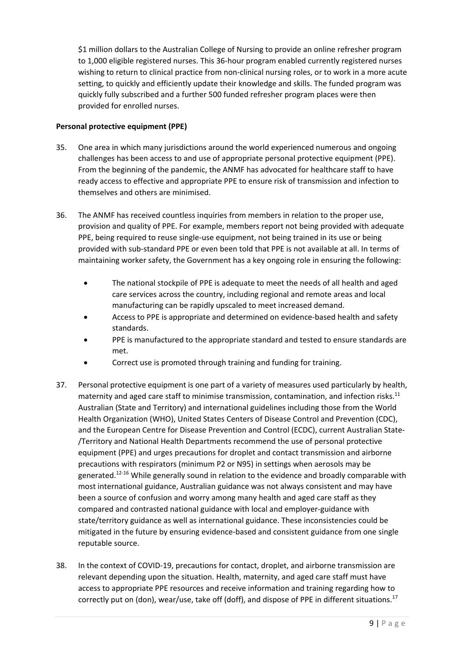\$1 million dollars to the Australian College of Nursing to provide an online refresher program to 1,000 eligible registered nurses. This 36-hour program enabled currently registered nurses wishing to return to clinical practice from non-clinical nursing roles, or to work in a more acute setting, to quickly and efficiently update their knowledge and skills. The funded program was quickly fully subscribed and a further 500 funded refresher program places were then provided for enrolled nurses.

# **Personal protective equipment (PPE)**

- 35. One area in which many jurisdictions around the world experienced numerous and ongoing challenges has been access to and use of appropriate personal protective equipment (PPE). From the beginning of the pandemic, the ANMF has advocated for healthcare staff to have ready access to effective and appropriate PPE to ensure risk of transmission and infection to themselves and others are minimised.
- 36. The ANMF has received countless inquiries from members in relation to the proper use, provision and quality of PPE. For example, members report not being provided with adequate PPE, being required to reuse single-use equipment, not being trained in its use or being provided with sub-standard PPE or even been told that PPE is not available at all. In terms of maintaining worker safety, the Government has a key ongoing role in ensuring the following:
	- The national stockpile of PPE is adequate to meet the needs of all health and aged care services across the country, including regional and remote areas and local manufacturing can be rapidly upscaled to meet increased demand.
	- Access to PPE is appropriate and determined on evidence-based health and safety standards.
	- PPE is manufactured to the appropriate standard and tested to ensure standards are met.
	- Correct use is promoted through training and funding for training.
- 37. Personal protective equipment is one part of a variety of measures used particularly by health, maternity and aged care staff to minimise transmission, contamination, and infection risks.<sup>11</sup> Australian (State and Territory) and international guidelines including those from the World Health Organization (WHO), United States Centers of Disease Control and Prevention (CDC), and the European Centre for Disease Prevention and Control (ECDC), current Australian State- /Territory and National Health Departments recommend the use of personal protective equipment (PPE) and urges precautions for droplet and contact transmission and airborne precautions with respirators (minimum P2 or N95) in settings when aerosols may be generated.<sup>12-16</sup> While generally sound in relation to the evidence and broadly comparable with most international guidance, Australian guidance was not always consistent and may have been a source of confusion and worry among many health and aged care staff as they compared and contrasted national guidance with local and employer-guidance with state/territory guidance as well as international guidance. These inconsistencies could be mitigated in the future by ensuring evidence-based and consistent guidance from one single reputable source.
- 38. In the context of COVID-19, precautions for contact, droplet, and airborne transmission are relevant depending upon the situation. Health, maternity, and aged care staff must have access to appropriate PPE resources and receive information and training regarding how to correctly put on (don), wear/use, take off (doff), and dispose of PPE in different situations.<sup>17</sup>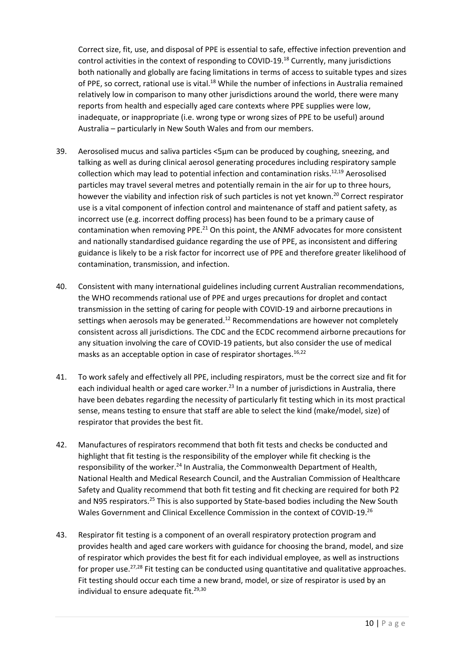Correct size, fit, use, and disposal of PPE is essential to safe, effective infection prevention and control activities in the context of responding to COVID-19.18 Currently, many jurisdictions both nationally and globally are facing limitations in terms of access to suitable types and sizes of PPE, so correct, rational use is vital.<sup>18</sup> While the number of infections in Australia remained relatively low in comparison to many other jurisdictions around the world, there were many reports from health and especially aged care contexts where PPE supplies were low, inadequate, or inappropriate (i.e. wrong type or wrong sizes of PPE to be useful) around Australia – particularly in New South Wales and from our members.

- 39. Aerosolised mucus and saliva particles <5μm can be produced by coughing, sneezing, and talking as well as during clinical aerosol generating procedures including respiratory sample collection which may lead to potential infection and contamination risks.<sup>12,19</sup> Aerosolised particles may travel several metres and potentially remain in the air for up to three hours, however the viability and infection risk of such particles is not yet known.<sup>20</sup> Correct respirator use is a vital component of infection control and maintenance of staff and patient safety, as incorrect use (e.g. incorrect doffing process) has been found to be a primary cause of contamination when removing PPE. $^{21}$  On this point, the ANMF advocates for more consistent and nationally standardised guidance regarding the use of PPE, as inconsistent and differing guidance is likely to be a risk factor for incorrect use of PPE and therefore greater likelihood of contamination, transmission, and infection.
- 40. Consistent with many international guidelines including current Australian recommendations, the WHO recommends rational use of PPE and urges precautions for droplet and contact transmission in the setting of caring for people with COVID-19 and airborne precautions in settings when aerosols may be generated.<sup>12</sup> Recommendations are however not completely consistent across all jurisdictions. The CDC and the ECDC recommend airborne precautions for any situation involving the care of COVID-19 patients, but also consider the use of medical masks as an acceptable option in case of respirator shortages.  $16,22$
- 41. To work safely and effectively all PPE, including respirators, must be the correct size and fit for each individual health or aged care worker.<sup>23</sup> In a number of jurisdictions in Australia, there have been debates regarding the necessity of particularly fit testing which in its most practical sense, means testing to ensure that staff are able to select the kind (make/model, size) of respirator that provides the best fit.
- 42. Manufactures of respirators recommend that both fit tests and checks be conducted and highlight that fit testing is the responsibility of the employer while fit checking is the responsibility of the worker.<sup>24</sup> In Australia, the Commonwealth Department of Health, National Health and Medical Research Council, and the Australian Commission of Healthcare Safety and Quality recommend that both fit testing and fit checking are required for both P2 and N95 respirators.<sup>25</sup> This is also supported by State-based bodies including the New South Wales Government and Clinical Excellence Commission in the context of COVID-19.26
- 43. Respirator fit testing is a component of an overall respiratory protection program and provides health and aged care workers with guidance for choosing the brand, model, and size of respirator which provides the best fit for each individual employee, as well as instructions for proper use. $27,28$  Fit testing can be conducted using quantitative and qualitative approaches. Fit testing should occur each time a new brand, model, or size of respirator is used by an individual to ensure adequate fit.<sup>29,30</sup>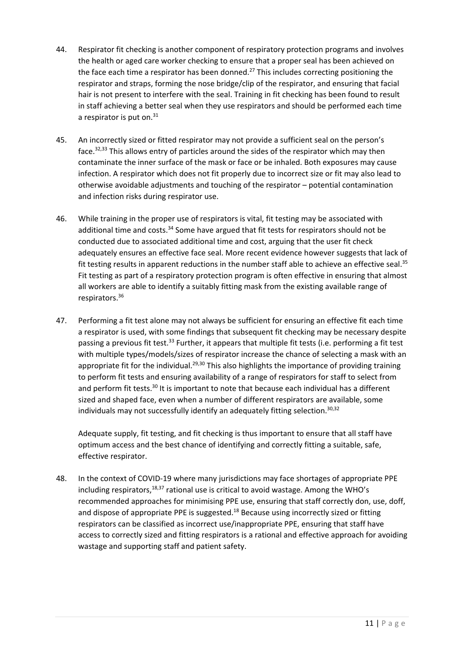- 44. Respirator fit checking is another component of respiratory protection programs and involves the health or aged care worker checking to ensure that a proper seal has been achieved on the face each time a respirator has been donned.<sup>27</sup> This includes correcting positioning the respirator and straps, forming the nose bridge/clip of the respirator, and ensuring that facial hair is not present to interfere with the seal. Training in fit checking has been found to result in staff achieving a better seal when they use respirators and should be performed each time a respirator is put on. $31$
- 45. An incorrectly sized or fitted respirator may not provide a sufficient seal on the person's face.32,33 This allows entry of particles around the sides of the respirator which may then contaminate the inner surface of the mask or face or be inhaled. Both exposures may cause infection. A respirator which does not fit properly due to incorrect size or fit may also lead to otherwise avoidable adjustments and touching of the respirator – potential contamination and infection risks during respirator use.
- 46. While training in the proper use of respirators is vital, fit testing may be associated with additional time and costs. $34$  Some have argued that fit tests for respirators should not be conducted due to associated additional time and cost, arguing that the user fit check adequately ensures an effective face seal. More recent evidence however suggests that lack of fit testing results in apparent reductions in the number staff able to achieve an effective seal.<sup>35</sup> Fit testing as part of a respiratory protection program is often effective in ensuring that almost all workers are able to identify a suitably fitting mask from the existing available range of respirators.36
- 47. Performing a fit test alone may not always be sufficient for ensuring an effective fit each time a respirator is used, with some findings that subsequent fit checking may be necessary despite passing a previous fit test.<sup>33</sup> Further, it appears that multiple fit tests (i.e. performing a fit test with multiple types/models/sizes of respirator increase the chance of selecting a mask with an appropriate fit for the individual.<sup>29,30</sup> This also highlights the importance of providing training to perform fit tests and ensuring availability of a range of respirators for staff to select from and perform fit tests.<sup>30</sup> It is important to note that because each individual has a different sized and shaped face, even when a number of different respirators are available, some individuals may not successfully identify an adequately fitting selection.<sup>30,32</sup>

Adequate supply, fit testing, and fit checking is thus important to ensure that all staff have optimum access and the best chance of identifying and correctly fitting a suitable, safe, effective respirator.

48. In the context of COVID-19 where many jurisdictions may face shortages of appropriate PPE including respirators, $18,37$  rational use is critical to avoid wastage. Among the WHO's recommended approaches for minimising PPE use, ensuring that staff correctly don, use, doff, and dispose of appropriate PPE is suggested. $18$  Because using incorrectly sized or fitting respirators can be classified as incorrect use/inappropriate PPE, ensuring that staff have access to correctly sized and fitting respirators is a rational and effective approach for avoiding wastage and supporting staff and patient safety.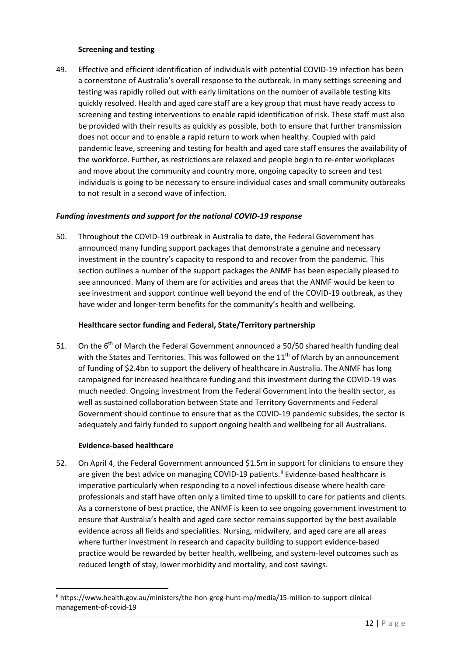# **Screening and testing**

49. Effective and efficient identification of individuals with potential COVID-19 infection has been a cornerstone of Australia's overall response to the outbreak. In many settings screening and testing was rapidly rolled out with early limitations on the number of available testing kits quickly resolved. Health and aged care staff are a key group that must have ready access to screening and testing interventions to enable rapid identification of risk. These staff must also be provided with their results as quickly as possible, both to ensure that further transmission does not occur and to enable a rapid return to work when healthy. Coupled with paid pandemic leave, screening and testing for health and aged care staff ensures the availability of the workforce. Further, as restrictions are relaxed and people begin to re-enter workplaces and move about the community and country more, ongoing capacity to screen and test individuals is going to be necessary to ensure individual cases and small community outbreaks to not result in a second wave of infection.

# *Funding investments and support for the national COVID-19 response*

50. Throughout the COVID-19 outbreak in Australia to date, the Federal Government has announced many funding support packages that demonstrate a genuine and necessary investment in the country's capacity to respond to and recover from the pandemic. This section outlines a number of the support packages the ANMF has been especially pleased to see announced. Many of them are for activities and areas that the ANMF would be keen to see investment and support continue well beyond the end of the COVID-19 outbreak, as they have wider and longer-term benefits for the community's health and wellbeing.

## **Healthcare sector funding and Federal, State/Territory partnership**

51. On the  $6<sup>th</sup>$  of March the Federal Government announced a 50/50 shared health funding deal with the States and Territories. This was followed on the  $11<sup>th</sup>$  of March by an announcement of funding of \$2.4bn to support the delivery of healthcare in Australia. The ANMF has long campaigned for increased healthcare funding and this investment during the COVID-19 was much needed. Ongoing investment from the Federal Government into the health sector, as well as sustained collaboration between State and Territory Governments and Federal Government should continue to ensure that as the COVID-19 pandemic subsides, the sector is adequately and fairly funded to support ongoing health and wellbeing for all Australians.

#### **Evidence-based healthcare**

52. On April 4, the Federal Government announced \$1.5m in support for clinicians to ensure they are given the best advice on managing COVID-19 patients.<sup>[ii](#page-11-0)</sup> Evidence-based healthcare is imperative particularly when responding to a novel infectious disease where health care professionals and staff have often only a limited time to upskill to care for patients and clients. As a cornerstone of best practice, the ANMF is keen to see ongoing government investment to ensure that Australia's health and aged care sector remains supported by the best available evidence across all fields and specialities. Nursing, midwifery, and aged care are all areas where further investment in research and capacity building to support evidence-based practice would be rewarded by better health, wellbeing, and system-level outcomes such as reduced length of stay, lower morbidity and mortality, and cost savings.

<span id="page-11-0"></span>ii https://www.health.gov.au/ministers/the-hon-greg-hunt-mp/media/15-million-to-support-clinicalmanagement-of-covid-19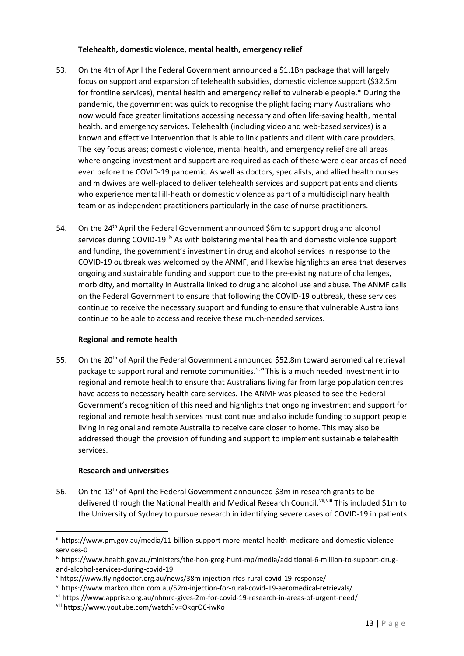# **Telehealth, domestic violence, mental health, emergency relief**

- 53. On the 4th of April the Federal Government announced a \$1.1Bn package that will largely focus on support and expansion of telehealth subsidies, domestic violence support (\$32.5m for frontline services), mental health and emergency relief to vulnerable people.<sup>[iii](#page-12-0)</sup> During the pandemic, the government was quick to recognise the plight facing many Australians who now would face greater limitations accessing necessary and often life-saving health, mental health, and emergency services. Telehealth (including video and web-based services) is a known and effective intervention that is able to link patients and client with care providers. The key focus areas; domestic violence, mental health, and emergency relief are all areas where ongoing investment and support are required as each of these were clear areas of need even before the COVID-19 pandemic. As well as doctors, specialists, and allied health nurses and midwives are well-placed to deliver telehealth services and support patients and clients who experience mental ill-heath or domestic violence as part of a multidisciplinary health team or as independent practitioners particularly in the case of nurse practitioners.
- 54. On the 24<sup>th</sup> April the Federal Government announced \$6m to support drug and alcohol services during COVID-19.<sup>[iv](#page-12-1)</sup> As with bolstering mental health and domestic violence support and funding, the government's investment in drug and alcohol services in response to the COVID-19 outbreak was welcomed by the ANMF, and likewise highlights an area that deserves ongoing and sustainable funding and support due to the pre-existing nature of challenges, morbidity, and mortality in Australia linked to drug and alcohol use and abuse. The ANMF calls on the Federal Government to ensure that following the COVID-19 outbreak, these services continue to receive the necessary support and funding to ensure that vulnerable Australians continue to be able to access and receive these much-needed services.

# **Regional and remote health**

55. On the 20<sup>th</sup> of April the Federal Government announced \$52.8m toward aeromedical retrieval package to support rural and remote communities.<sup> $v,v$  $v,v$ </sup> This is a much needed investment into regional and remote health to ensure that Australians living far from large population centres have access to necessary health care services. The ANMF was pleased to see the Federal Government's recognition of this need and highlights that ongoing investment and support for regional and remote health services must continue and also include funding to support people living in regional and remote Australia to receive care closer to home. This may also be addressed though the provision of funding and support to implement sustainable telehealth services.

# **Research and universities**

56. On the 13<sup>th</sup> of April the Federal Government announced \$3m in research grants to be delivered through the National Health and Medical Research Council. Vii, Viii This included \$1m to the University of Sydney to pursue research in identifying severe cases of COVID-19 in patients

<span id="page-12-0"></span>iii https://www.pm.gov.au/media/11-billion-support-more-mental-health-medicare-and-domestic-violenceservices-0

<span id="page-12-1"></span>iv https://www.health.gov.au/ministers/the-hon-greg-hunt-mp/media/additional-6-million-to-support-drugand-alcohol-services-during-covid-19

<span id="page-12-2"></span><sup>v</sup> https://www.flyingdoctor.org.au/news/38m-injection-rfds-rural-covid-19-response/

<span id="page-12-3"></span>vi https://www.markcoulton.com.au/52m-injection-for-rural-covid-19-aeromedical-retrievals/

<span id="page-12-4"></span>vii https://www.apprise.org.au/nhmrc-gives-2m-for-covid-19-research-in-areas-of-urgent-need/

<span id="page-12-5"></span>viii https://www.youtube.com/watch?v=OkqrO6-iwKo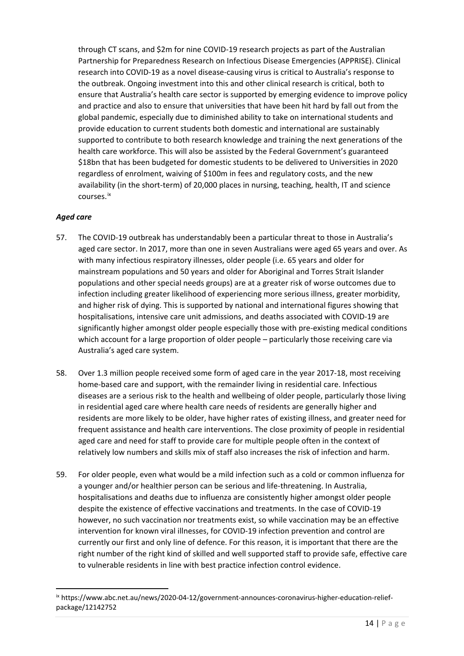through CT scans, and \$2m for nine COVID-19 research projects as part of the Australian Partnership for Preparedness Research on Infectious Disease Emergencies (APPRISE). Clinical research into COVID-19 as a novel disease-causing virus is critical to Australia's response to the outbreak. Ongoing investment into this and other clinical research is critical, both to ensure that Australia's health care sector is supported by emerging evidence to improve policy and practice and also to ensure that universities that have been hit hard by fall out from the global pandemic, especially due to diminished ability to take on international students and provide education to current students both domestic and international are sustainably supported to contribute to both research knowledge and training the next generations of the health care workforce. This will also be assisted by the Federal Government's guaranteed \$18bn that has been budgeted for domestic students to be delivered to Universities in 2020 regardless of enrolment, waiving of \$100m in fees and regulatory costs, and the new availability (in the short-term) of 20,000 places in nursing, teaching, health, IT and science courses.[ix](#page-13-0)

# *Aged care*

- 57. The COVID-19 outbreak has understandably been a particular threat to those in Australia's aged care sector. In 2017, more than one in seven Australians were aged 65 years and over. As with many infectious respiratory illnesses, older people (i.e. 65 years and older for mainstream populations and 50 years and older for Aboriginal and Torres Strait Islander populations and other special needs groups) are at a greater risk of worse outcomes due to infection including greater likelihood of experiencing more serious illness, greater morbidity, and higher risk of dying. This is supported by national and international figures showing that hospitalisations, intensive care unit admissions, and deaths associated with COVID-19 are significantly higher amongst older people especially those with pre-existing medical conditions which account for a large proportion of older people – particularly those receiving care via Australia's aged care system.
- 58. Over 1.3 million people received some form of aged care in the year 2017-18, most receiving home-based care and support, with the remainder living in residential care. Infectious diseases are a serious risk to the health and wellbeing of older people, particularly those living in residential aged care where health care needs of residents are generally higher and residents are more likely to be older, have higher rates of existing illness, and greater need for frequent assistance and health care interventions. The close proximity of people in residential aged care and need for staff to provide care for multiple people often in the context of relatively low numbers and skills mix of staff also increases the risk of infection and harm.
- 59. For older people, even what would be a mild infection such as a cold or common influenza for a younger and/or healthier person can be serious and life-threatening. In Australia, hospitalisations and deaths due to influenza are consistently higher amongst older people despite the existence of effective vaccinations and treatments. In the case of COVID-19 however, no such vaccination nor treatments exist, so while vaccination may be an effective intervention for known viral illnesses, for COVID-19 infection prevention and control are currently our first and only line of defence. For this reason, it is important that there are the right number of the right kind of skilled and well supported staff to provide safe, effective care to vulnerable residents in line with best practice infection control evidence.

<span id="page-13-0"></span>ix https://www.abc.net.au/news/2020-04-12/government-announces-coronavirus-higher-education-reliefpackage/12142752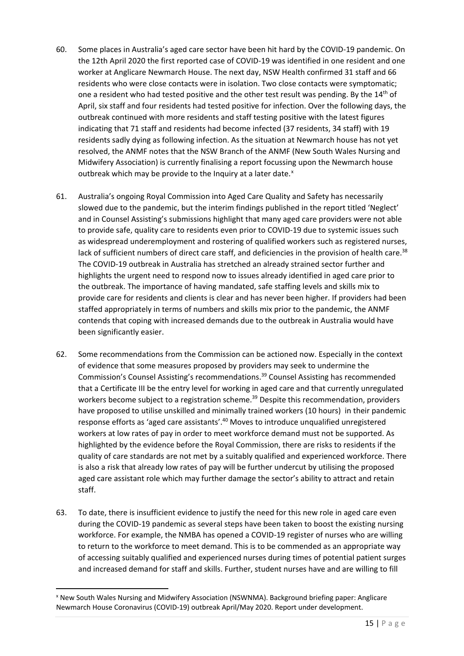- 60. Some places in Australia's aged care sector have been hit hard by the COVID-19 pandemic. On the 12th April 2020 the first reported case of COVID-19 was identified in one resident and one worker at Anglicare Newmarch House. The next day, NSW Health confirmed 31 staff and 66 residents who were close contacts were in isolation. Two close contacts were symptomatic; one a resident who had tested positive and the other test result was pending. By the 14<sup>th</sup> of April, six staff and four residents had tested positive for infection. Over the following days, the outbreak continued with more residents and staff testing positive with the latest figures indicating that 71 staff and residents had become infected (37 residents, 34 staff) with 19 residents sadly dying as following infection. As the situation at Newmarch house has not yet resolved, the ANMF notes that the NSW Branch of the ANMF (New South Wales Nursing and Midwifery Association) is currently finalising a report focussing upon the Newmarch house outbreak which may be provide to the Inquiry at a later date.<sup>[x](#page-14-0)</sup>
- 61. Australia's ongoing Royal Commission into Aged Care Quality and Safety has necessarily slowed due to the pandemic, but the interim findings published in the report titled 'Neglect' and in Counsel Assisting's submissions highlight that many aged care providers were not able to provide safe, quality care to residents even prior to COVID-19 due to systemic issues such as widespread underemployment and rostering of qualified workers such as registered nurses, lack of sufficient numbers of direct care staff, and deficiencies in the provision of health care.<sup>38</sup> The COVID-19 outbreak in Australia has stretched an already strained sector further and highlights the urgent need to respond now to issues already identified in aged care prior to the outbreak. The importance of having mandated, safe staffing levels and skills mix to provide care for residents and clients is clear and has never been higher. If providers had been staffed appropriately in terms of numbers and skills mix prior to the pandemic, the ANMF contends that coping with increased demands due to the outbreak in Australia would have been significantly easier.
- 62. Some recommendations from the Commission can be actioned now. Especially in the context of evidence that some measures proposed by providers may seek to undermine the Commission's Counsel Assisting's recommendations.39 Counsel Assisting has recommended that a Certificate III be the entry level for working in aged care and that currently unregulated workers become subject to a registration scheme.<sup>39</sup> Despite this recommendation, providers have proposed to utilise unskilled and minimally trained workers (10 hours) in their pandemic response efforts as 'aged care assistants'.<sup>40</sup> Moves to introduce unqualified unregistered workers at low rates of pay in order to meet workforce demand must not be supported. As highlighted by the evidence before the Royal Commission, there are risks to residents if the quality of care standards are not met by a suitably qualified and experienced workforce. There is also a risk that already low rates of pay will be further undercut by utilising the proposed aged care assistant role which may further damage the sector's ability to attract and retain staff.
- 63. To date, there is insufficient evidence to justify the need for this new role in aged care even during the COVID-19 pandemic as several steps have been taken to boost the existing nursing workforce. For example, the NMBA has opened a COVID-19 register of nurses who are willing to return to the workforce to meet demand. This is to be commended as an appropriate way of accessing suitably qualified and experienced nurses during times of potential patient surges and increased demand for staff and skills. Further, student nurses have and are willing to fill

<span id="page-14-0"></span>x New South Wales Nursing and Midwifery Association (NSWNMA). Background briefing paper: Anglicare Newmarch House Coronavirus (COVID-19) outbreak April/May 2020. Report under development.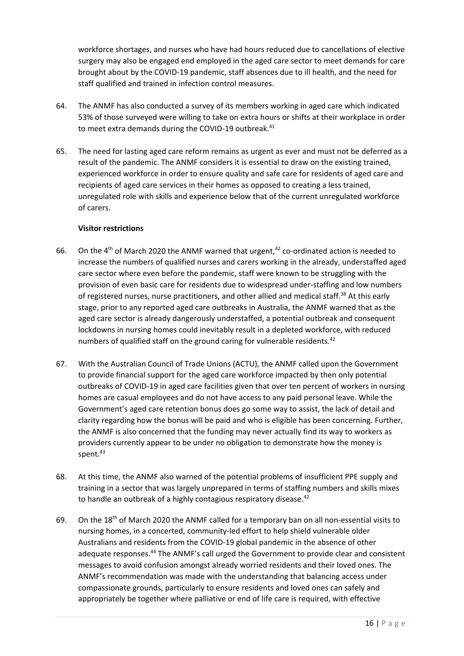workforce shortages, and nurses who have had hours reduced due to cancellations of elective surgery may also be engaged end employed in the aged care sector to meet demands for care brought about by the COVID-19 pandemic, staff absences due to ill health, and the need for staff qualified and trained in infection control measures.

- 64. The ANMF has also conducted a survey of its members working in aged care which indicated 53% of those surveyed were willing to take on extra hours or shifts at their workplace in order to meet extra demands during the COVID-19 outbreak.<sup>41</sup>
- 65. The need for lasting aged care reform remains as urgent as ever and must not be deferred as a result of the pandemic. The ANMF considers it is essential to draw on the existing trained, experienced workforce in order to ensure quality and safe care for residents of aged care and recipients of aged care services in their homes as opposed to creating a less trained, unregulated role with skills and experience below that of the current unregulated workforce of carers.

# **Visitor restrictions**

- 66. On the 4<sup>th</sup> of March 2020 the ANMF warned that urgent,<sup>42</sup> co-ordinated action is needed to increase the numbers of qualified nurses and carers working in the already, understaffed aged care sector where even before the pandemic, staff were known to be struggling with the provision of even basic care for residents due to widespread under-staffing and low numbers of registered nurses, nurse practitioners, and other allied and medical staff.<sup>38</sup> At this early stage, prior to any reported aged care outbreaks in Australia, the ANMF warned that as the aged care sector is already dangerously understaffed, a potential outbreak and consequent lockdowns in nursing homes could inevitably result in a depleted workforce, with reduced numbers of qualified staff on the ground caring for vulnerable residents.<sup>42</sup>
- 67. With the Australian Council of Trade Unions (ACTU), the ANMF called upon the Government to provide financial support for the aged care workforce impacted by then only potential outbreaks of COVID-19 in aged care facilities given that over ten percent of workers in nursing homes are casual employees and do not have access to any paid personal leave. While the Government's aged care retention bonus does go some way to assist, the lack of detail and clarity regarding how the bonus will be paid and who is eligible has been concerning. Further, the ANMF is also concerned that the funding may never actually find its way to workers as providers currently appear to be under no obligation to demonstrate how the money is spent.<sup>43</sup>
- 68. At this time, the ANMF also warned of the potential problems of insufficient PPE supply and training in a sector that was largely unprepared in terms of staffing numbers and skills mixes to handle an outbreak of a highly contagious respiratory disease.<sup>42</sup>
- 69. On the 18th of March 2020 the ANMF called for a temporary ban on all non-essential visits to nursing homes, in a concerted, community-led effort to help shield vulnerable older Australians and residents from the COVID-19 global pandemic in the absence of other adequate responses.<sup>44</sup> The ANMF's call urged the Government to provide clear and consistent messages to avoid confusion amongst already worried residents and their loved ones. The ANMF's recommendation was made with the understanding that balancing access under compassionate grounds, particularly to ensure residents and loved ones can safely and appropriately be together where palliative or end of life care is required, with effective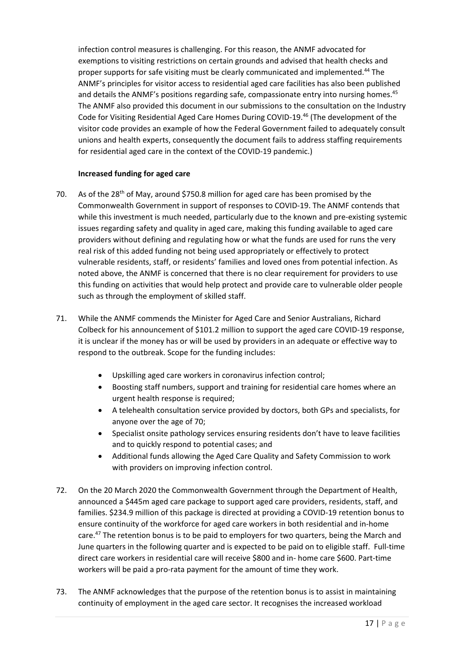infection control measures is challenging. For this reason, the ANMF advocated for exemptions to visiting restrictions on certain grounds and advised that health checks and proper supports for safe visiting must be clearly communicated and implemented.<sup>44</sup> The ANMF's principles for visitor access to residential aged care facilities has also been published and details the ANMF's positions regarding safe, compassionate entry into nursing homes.<sup>45</sup> The ANMF also provided this document in our submissions to the consultation on the Industry Code for Visiting Residential Aged Care Homes During COVID-19.46 (The development of the visitor code provides an example of how the Federal Government failed to adequately consult unions and health experts, consequently the document fails to address staffing requirements for residential aged care in the context of the COVID-19 pandemic.)

# **Increased funding for aged care**

- 70. As of the 28<sup>th</sup> of May, around \$750.8 million for aged care has been promised by the Commonwealth Government in support of responses to COVID-19. The ANMF contends that while this investment is much needed, particularly due to the known and pre-existing systemic issues regarding safety and quality in aged care, making this funding available to aged care providers without defining and regulating how or what the funds are used for runs the very real risk of this added funding not being used appropriately or effectively to protect vulnerable residents, staff, or residents' families and loved ones from potential infection. As noted above, the ANMF is concerned that there is no clear requirement for providers to use this funding on activities that would help protect and provide care to vulnerable older people such as through the employment of skilled staff.
- 71. While the ANMF commends the Minister for Aged Care and Senior Australians, Richard Colbeck for his announcement of \$101.2 million to support the aged care COVID-19 response, it is unclear if the money has or will be used by providers in an adequate or effective way to respond to the outbreak. Scope for the funding includes:
	- Upskilling aged care workers in coronavirus infection control;
	- Boosting staff numbers, support and training for residential care homes where an urgent health response is required;
	- A telehealth consultation service provided by doctors, both GPs and specialists, for anyone over the age of 70;
	- Specialist onsite pathology services ensuring residents don't have to leave facilities and to quickly respond to potential cases; and
	- Additional funds allowing the Aged Care Quality and Safety Commission to work with providers on improving infection control.
- 72. On the 20 March 2020 the Commonwealth Government through the Department of Health, announced a \$445m aged care package to support aged care providers, residents, staff, and families. \$234.9 million of this package is directed at providing a COVID-19 retention bonus to ensure continuity of the workforce for aged care workers in both residential and in-home care.<sup>47</sup> The retention bonus is to be paid to employers for two quarters, being the March and June quarters in the following quarter and is expected to be paid on to eligible staff. Full-time direct care workers in residential care will receive \$800 and in- home care \$600. Part-time workers will be paid a pro-rata payment for the amount of time they work.
- 73. The ANMF acknowledges that the purpose of the retention bonus is to assist in maintaining continuity of employment in the aged care sector. It recognises the increased workload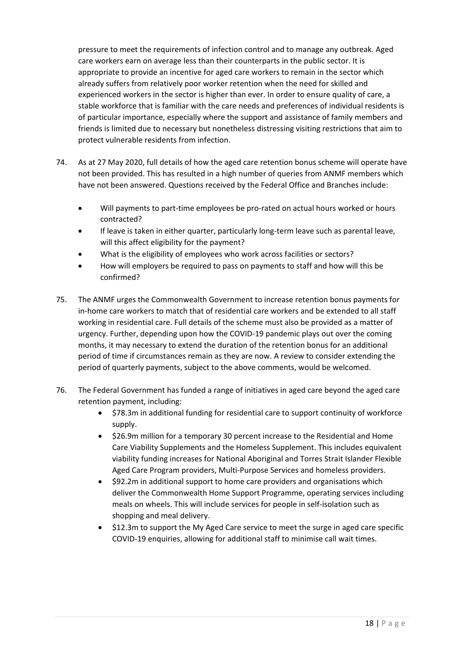pressure to meet the requirements of infection control and to manage any outbreak. Aged care workers earn on average less than their counterparts in the public sector. It is appropriate to provide an incentive for aged care workers to remain in the sector which already suffers from relatively poor worker retention when the need for skilled and experienced workers in the sector is higher than ever. In order to ensure quality of care, a stable workforce that is familiar with the care needs and preferences of individual residents is of particular importance, especially where the support and assistance of family members and friends is limited due to necessary but nonetheless distressing visiting restrictions that aim to protect vulnerable residents from infection.

- 74. As at 27 May 2020, full details of how the aged care retention bonus scheme will operate have not been provided. This has resulted in a high number of queries from ANMF members which have not been answered. Questions received by the Federal Office and Branches include:
	- Will payments to part-time employees be pro-rated on actual hours worked or hours contracted?
	- If leave is taken in either quarter, particularly long-term leave such as parental leave, will this affect eligibility for the payment?
	- What is the eligibility of employees who work across facilities or sectors?
	- How will employers be required to pass on payments to staff and how will this be confirmed?
- 75. The ANMF urges the Commonwealth Government to increase retention bonus payments for in-home care workers to match that of residential care workers and be extended to all staff working in residential care. Full details of the scheme must also be provided as a matter of urgency. Further, depending upon how the COVID-19 pandemic plays out over the coming months, it may necessary to extend the duration of the retention bonus for an additional period of time if circumstances remain as they are now. A review to consider extending the period of quarterly payments, subject to the above comments, would be welcomed.
- 76. The Federal Government has funded a range of initiatives in aged care beyond the aged care retention payment, including:
	- \$78.3m in additional funding for residential care to support continuity of workforce supply.
	- \$26.9m million for a temporary 30 percent increase to the Residential and Home Care Viability Supplements and the Homeless Supplement. This includes equivalent viability funding increases for National Aboriginal and Torres Strait Islander Flexible Aged Care Program providers, Multi-Purpose Services and homeless providers.
	- \$92.2m in additional support to home care providers and organisations which deliver the Commonwealth Home Support Programme, operating services including meals on wheels. This will include services for people in self-isolation such as shopping and meal delivery.
	- \$12.3m to support the My Aged Care service to meet the surge in aged care specific COVID-19 enquiries, allowing for additional staff to minimise call wait times.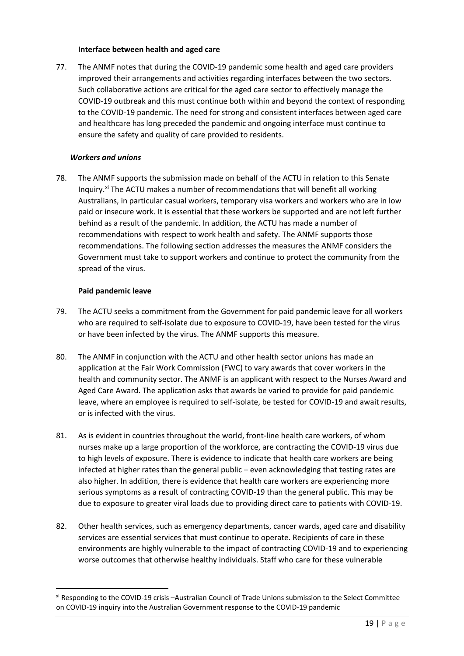#### **Interface between health and aged care**

77. The ANMF notes that during the COVID-19 pandemic some health and aged care providers improved their arrangements and activities regarding interfaces between the two sectors. Such collaborative actions are critical for the aged care sector to effectively manage the COVID-19 outbreak and this must continue both within and beyond the context of responding to the COVID-19 pandemic. The need for strong and consistent interfaces between aged care and healthcare has long preceded the pandemic and ongoing interface must continue to ensure the safety and quality of care provided to residents.

## *Workers and unions*

78. The ANMF supports the submission made on behalf of the ACTU in relation to this Senate Inquiry.<sup>[xi](#page-18-0)</sup> The ACTU makes a number of recommendations that will benefit all working Australians, in particular casual workers, temporary visa workers and workers who are in low paid or insecure work. It is essential that these workers be supported and are not left further behind as a result of the pandemic. In addition, the ACTU has made a number of recommendations with respect to work health and safety. The ANMF supports those recommendations. The following section addresses the measures the ANMF considers the Government must take to support workers and continue to protect the community from the spread of the virus.

#### **Paid pandemic leave**

- 79. The ACTU seeks a commitment from the Government for paid pandemic leave for all workers who are required to self-isolate due to exposure to COVID-19, have been tested for the virus or have been infected by the virus. The ANMF supports this measure.
- 80. The ANMF in conjunction with the ACTU and other health sector unions has made an application at the Fair Work Commission (FWC) to vary awards that cover workers in the health and community sector. The ANMF is an applicant with respect to the Nurses Award and Aged Care Award. The application asks that awards be varied to provide for paid pandemic leave, where an employee is required to self-isolate, be tested for COVID-19 and await results, or is infected with the virus.
- 81. As is evident in countries throughout the world, front-line health care workers, of whom nurses make up a large proportion of the workforce, are contracting the COVID-19 virus due to high levels of exposure. There is evidence to indicate that health care workers are being infected at higher rates than the general public – even acknowledging that testing rates are also higher. In addition, there is evidence that health care workers are experiencing more serious symptoms as a result of contracting COVID-19 than the general public. This may be due to exposure to greater viral loads due to providing direct care to patients with COVID-19.
- 82. Other health services, such as emergency departments, cancer wards, aged care and disability services are essential services that must continue to operate. Recipients of care in these environments are highly vulnerable to the impact of contracting COVID-19 and to experiencing worse outcomes that otherwise healthy individuals. Staff who care for these vulnerable

<span id="page-18-0"></span>xi Responding to the COVID-19 crisis –Australian Council of Trade Unions submission to the Select Committee on COVID-19 inquiry into the Australian Government response to the COVID-19 pandemic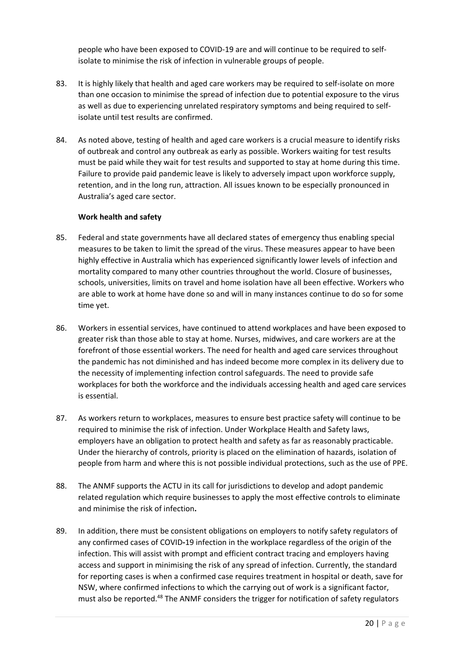people who have been exposed to COVID-19 are and will continue to be required to selfisolate to minimise the risk of infection in vulnerable groups of people.

- 83. It is highly likely that health and aged care workers may be required to self-isolate on more than one occasion to minimise the spread of infection due to potential exposure to the virus as well as due to experiencing unrelated respiratory symptoms and being required to selfisolate until test results are confirmed.
- 84. As noted above, testing of health and aged care workers is a crucial measure to identify risks of outbreak and control any outbreak as early as possible. Workers waiting for test results must be paid while they wait for test results and supported to stay at home during this time. Failure to provide paid pandemic leave is likely to adversely impact upon workforce supply, retention, and in the long run, attraction. All issues known to be especially pronounced in Australia's aged care sector.

# **Work health and safety**

- 85. Federal and state governments have all declared states of emergency thus enabling special measures to be taken to limit the spread of the virus. These measures appear to have been highly effective in Australia which has experienced significantly lower levels of infection and mortality compared to many other countries throughout the world. Closure of businesses, schools, universities, limits on travel and home isolation have all been effective. Workers who are able to work at home have done so and will in many instances continue to do so for some time yet.
- 86. Workers in essential services, have continued to attend workplaces and have been exposed to greater risk than those able to stay at home. Nurses, midwives, and care workers are at the forefront of those essential workers. The need for health and aged care services throughout the pandemic has not diminished and has indeed become more complex in its delivery due to the necessity of implementing infection control safeguards. The need to provide safe workplaces for both the workforce and the individuals accessing health and aged care services is essential.
- 87. As workers return to workplaces, measures to ensure best practice safety will continue to be required to minimise the risk of infection. Under Workplace Health and Safety laws, employers have an obligation to protect health and safety as far as reasonably practicable. Under the hierarchy of controls, priority is placed on the elimination of hazards, isolation of people from harm and where this is not possible individual protections, such as the use of PPE.
- 88. The ANMF supports the ACTU in its call for jurisdictions to develop and adopt pandemic related regulation which require businesses to apply the most effective controls to eliminate and minimise the risk of infection**.**
- 89. In addition, there must be consistent obligations on employers to notify safety regulators of any confirmed cases of COVID**-**19 infection in the workplace regardless of the origin of the infection. This will assist with prompt and efficient contract tracing and employers having access and support in minimising the risk of any spread of infection. Currently, the standard for reporting cases is when a confirmed case requires treatment in hospital or death, save for NSW, where confirmed infections to which the carrying out of work is a significant factor, must also be reported.<sup>48</sup> The ANMF considers the trigger for notification of safety regulators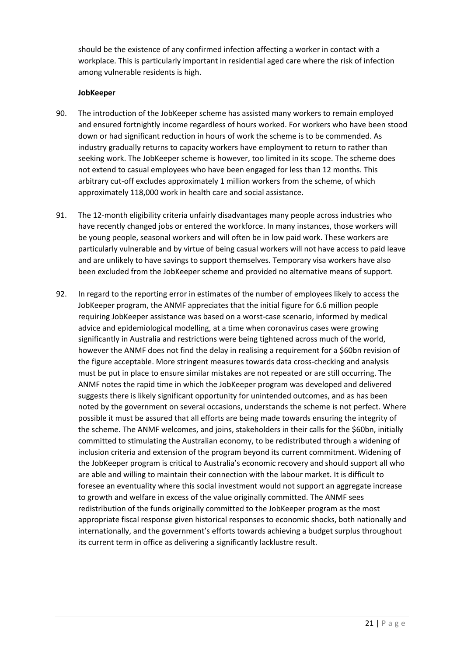should be the existence of any confirmed infection affecting a worker in contact with a workplace. This is particularly important in residential aged care where the risk of infection among vulnerable residents is high.

#### **JobKeeper**

- 90. The introduction of the JobKeeper scheme has assisted many workers to remain employed and ensured fortnightly income regardless of hours worked. For workers who have been stood down or had significant reduction in hours of work the scheme is to be commended. As industry gradually returns to capacity workers have employment to return to rather than seeking work. The JobKeeper scheme is however, too limited in its scope. The scheme does not extend to casual employees who have been engaged for less than 12 months. This arbitrary cut-off excludes approximately 1 million workers from the scheme, of which approximately 118,000 work in health care and social assistance.
- 91. The 12-month eligibility criteria unfairly disadvantages many people across industries who have recently changed jobs or entered the workforce. In many instances, those workers will be young people, seasonal workers and will often be in low paid work. These workers are particularly vulnerable and by virtue of being casual workers will not have access to paid leave and are unlikely to have savings to support themselves. Temporary visa workers have also been excluded from the JobKeeper scheme and provided no alternative means of support.
- 92. In regard to the reporting error in estimates of the number of employees likely to access the JobKeeper program, the ANMF appreciates that the initial figure for 6.6 million people requiring JobKeeper assistance was based on a worst-case scenario, informed by medical advice and epidemiological modelling, at a time when coronavirus cases were growing significantly in Australia and restrictions were being tightened across much of the world, however the ANMF does not find the delay in realising a requirement for a \$60bn revision of the figure acceptable. More stringent measures towards data cross-checking and analysis must be put in place to ensure similar mistakes are not repeated or are still occurring. The ANMF notes the rapid time in which the JobKeeper program was developed and delivered suggests there is likely significant opportunity for unintended outcomes, and as has been noted by the government on several occasions, understands the scheme is not perfect. Where possible it must be assured that all efforts are being made towards ensuring the integrity of the scheme. The ANMF welcomes, and joins, stakeholders in their calls for the \$60bn, initially committed to stimulating the Australian economy, to be redistributed through a widening of inclusion criteria and extension of the program beyond its current commitment. Widening of the JobKeeper program is critical to Australia's economic recovery and should support all who are able and willing to maintain their connection with the labour market. It is difficult to foresee an eventuality where this social investment would not support an aggregate increase to growth and welfare in excess of the value originally committed. The ANMF sees redistribution of the funds originally committed to the JobKeeper program as the most appropriate fiscal response given historical responses to economic shocks, both nationally and internationally, and the government's efforts towards achieving a budget surplus throughout its current term in office as delivering a significantly lacklustre result.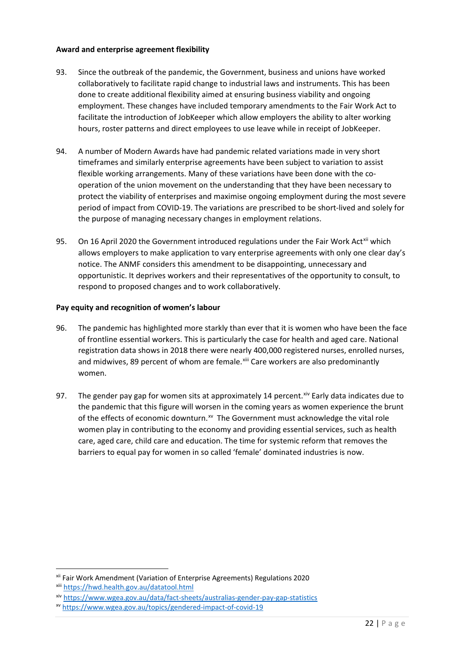# **Award and enterprise agreement flexibility**

- 93. Since the outbreak of the pandemic, the Government, business and unions have worked collaboratively to facilitate rapid change to industrial laws and instruments. This has been done to create additional flexibility aimed at ensuring business viability and ongoing employment. These changes have included temporary amendments to the Fair Work Act to facilitate the introduction of JobKeeper which allow employers the ability to alter working hours, roster patterns and direct employees to use leave while in receipt of JobKeeper.
- 94. A number of Modern Awards have had pandemic related variations made in very short timeframes and similarly enterprise agreements have been subject to variation to assist flexible working arrangements. Many of these variations have been done with the cooperation of the union movement on the understanding that they have been necessary to protect the viability of enterprises and maximise ongoing employment during the most severe period of impact from COVID-19. The variations are prescribed to be short-lived and solely for the purpose of managing necessary changes in employment relations.
- 95. On 16 April 2020 the Government introduced regulations under the Fair Work Act<sup>[xii](#page-21-0)</sup> which allows employers to make application to vary enterprise agreements with only one clear day's notice. The ANMF considers this amendment to be disappointing, unnecessary and opportunistic. It deprives workers and their representatives of the opportunity to consult, to respond to proposed changes and to work collaboratively.

#### **Pay equity and recognition of women's labour**

- 96. The pandemic has highlighted more starkly than ever that it is women who have been the face of frontline essential workers. This is particularly the case for health and aged care. National registration data shows in 2018 there were nearly 400,000 registered nurses, enrolled nurses, and midwives, 89 percent of whom are female. Xiii Care workers are also predominantly women.
- 97. The gender pay gap for women sits at approximately 14 percent. [xiv](#page-21-2) Early data indicates due to the pandemic that this figure will worsen in the coming years as women experience the brunt of the effects of economic downturn.<sup>[xv](#page-21-3)</sup> The Government must acknowledge the vital role women play in contributing to the economy and providing essential services, such as health care, aged care, child care and education. The time for systemic reform that removes the barriers to equal pay for women in so called 'female' dominated industries is now.

<span id="page-21-0"></span>xii Fair Work Amendment (Variation of Enterprise Agreements) Regulations 2020

<span id="page-21-1"></span>xiii <https://hwd.health.gov.au/datatool.html>

<span id="page-21-2"></span>xiv <https://www.wgea.gov.au/data/fact-sheets/australias-gender-pay-gap-statistics>

<span id="page-21-3"></span>xv <https://www.wgea.gov.au/topics/gendered-impact-of-covid-19>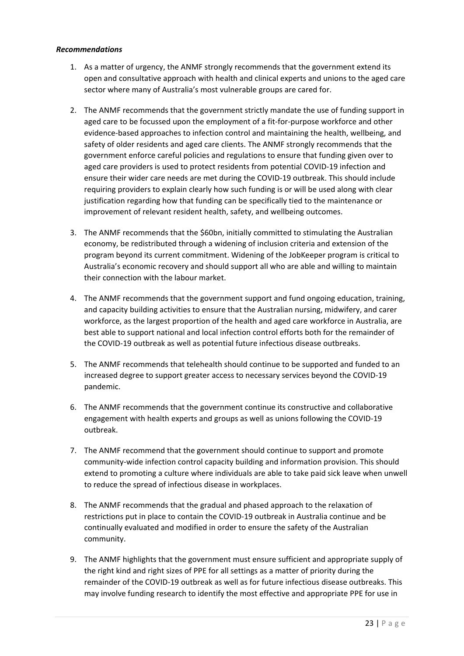# *Recommendations*

- 1. As a matter of urgency, the ANMF strongly recommends that the government extend its open and consultative approach with health and clinical experts and unions to the aged care sector where many of Australia's most vulnerable groups are cared for.
- 2. The ANMF recommends that the government strictly mandate the use of funding support in aged care to be focussed upon the employment of a fit-for-purpose workforce and other evidence-based approaches to infection control and maintaining the health, wellbeing, and safety of older residents and aged care clients. The ANMF strongly recommends that the government enforce careful policies and regulations to ensure that funding given over to aged care providers is used to protect residents from potential COVID-19 infection and ensure their wider care needs are met during the COVID-19 outbreak. This should include requiring providers to explain clearly how such funding is or will be used along with clear justification regarding how that funding can be specifically tied to the maintenance or improvement of relevant resident health, safety, and wellbeing outcomes.
- 3. The ANMF recommends that the \$60bn, initially committed to stimulating the Australian economy, be redistributed through a widening of inclusion criteria and extension of the program beyond its current commitment. Widening of the JobKeeper program is critical to Australia's economic recovery and should support all who are able and willing to maintain their connection with the labour market.
- 4. The ANMF recommends that the government support and fund ongoing education, training, and capacity building activities to ensure that the Australian nursing, midwifery, and carer workforce, as the largest proportion of the health and aged care workforce in Australia, are best able to support national and local infection control efforts both for the remainder of the COVID-19 outbreak as well as potential future infectious disease outbreaks.
- 5. The ANMF recommends that telehealth should continue to be supported and funded to an increased degree to support greater access to necessary services beyond the COVID-19 pandemic.
- 6. The ANMF recommends that the government continue its constructive and collaborative engagement with health experts and groups as well as unions following the COVID-19 outbreak.
- 7. The ANMF recommend that the government should continue to support and promote community-wide infection control capacity building and information provision. This should extend to promoting a culture where individuals are able to take paid sick leave when unwell to reduce the spread of infectious disease in workplaces.
- 8. The ANMF recommends that the gradual and phased approach to the relaxation of restrictions put in place to contain the COVID-19 outbreak in Australia continue and be continually evaluated and modified in order to ensure the safety of the Australian community.
- 9. The ANMF highlights that the government must ensure sufficient and appropriate supply of the right kind and right sizes of PPE for all settings as a matter of priority during the remainder of the COVID-19 outbreak as well as for future infectious disease outbreaks. This may involve funding research to identify the most effective and appropriate PPE for use in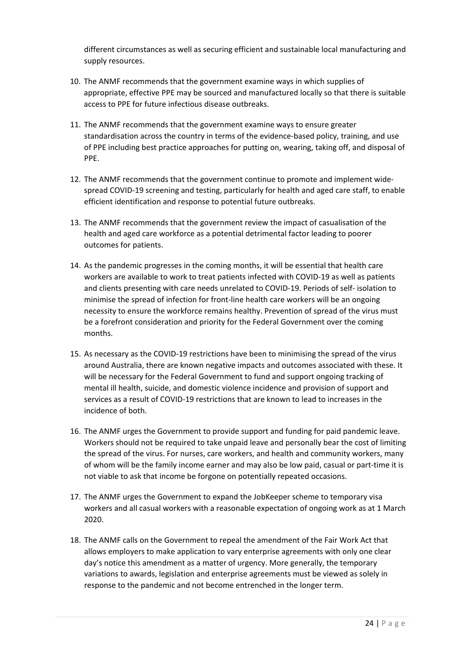different circumstances as well as securing efficient and sustainable local manufacturing and supply resources.

- 10. The ANMF recommends that the government examine ways in which supplies of appropriate, effective PPE may be sourced and manufactured locally so that there is suitable access to PPE for future infectious disease outbreaks.
- 11. The ANMF recommends that the government examine ways to ensure greater standardisation across the country in terms of the evidence-based policy, training, and use of PPE including best practice approaches for putting on, wearing, taking off, and disposal of PPE.
- 12. The ANMF recommends that the government continue to promote and implement widespread COVID-19 screening and testing, particularly for health and aged care staff, to enable efficient identification and response to potential future outbreaks.
- 13. The ANMF recommends that the government review the impact of casualisation of the health and aged care workforce as a potential detrimental factor leading to poorer outcomes for patients.
- 14. As the pandemic progresses in the coming months, it will be essential that health care workers are available to work to treat patients infected with COVID-19 as well as patients and clients presenting with care needs unrelated to COVID-19. Periods of self- isolation to minimise the spread of infection for front-line health care workers will be an ongoing necessity to ensure the workforce remains healthy. Prevention of spread of the virus must be a forefront consideration and priority for the Federal Government over the coming months.
- 15. As necessary as the COVID-19 restrictions have been to minimising the spread of the virus around Australia, there are known negative impacts and outcomes associated with these. It will be necessary for the Federal Government to fund and support ongoing tracking of mental ill health, suicide, and domestic violence incidence and provision of support and services as a result of COVID-19 restrictions that are known to lead to increases in the incidence of both.
- 16. The ANMF urges the Government to provide support and funding for paid pandemic leave. Workers should not be required to take unpaid leave and personally bear the cost of limiting the spread of the virus. For nurses, care workers, and health and community workers, many of whom will be the family income earner and may also be low paid, casual or part-time it is not viable to ask that income be forgone on potentially repeated occasions.
- 17. The ANMF urges the Government to expand the JobKeeper scheme to temporary visa workers and all casual workers with a reasonable expectation of ongoing work as at 1 March 2020.
- 18. The ANMF calls on the Government to repeal the amendment of the Fair Work Act that allows employers to make application to vary enterprise agreements with only one clear day's notice this amendment as a matter of urgency. More generally, the temporary variations to awards, legislation and enterprise agreements must be viewed as solely in response to the pandemic and not become entrenched in the longer term.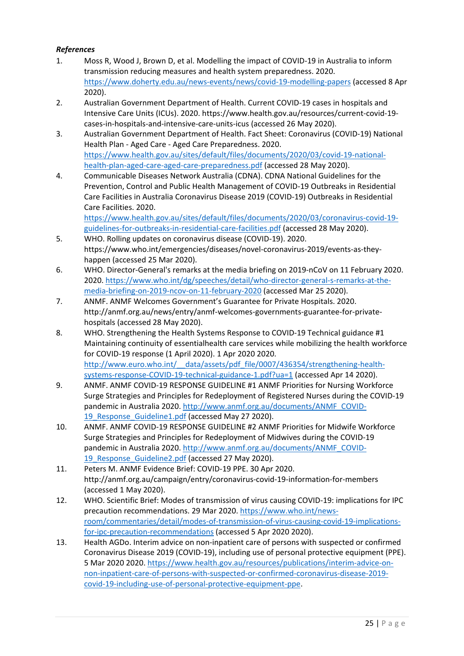# *References*

- 1. Moss R, Wood J, Brown D, et al. Modelling the impact of COVID-19 in Australia to inform transmission reducing measures and health system preparedness. 2020. <https://www.doherty.edu.au/news-events/news/covid-19-modelling-papers> (accessed 8 Apr 2020).
- 2. Australian Government Department of Health. Current COVID-19 cases in hospitals and Intensive Care Units (ICUs). 2020. https://www.health.gov.au/resources/current-covid-19 cases-in-hospitals-and-intensive-care-units-icus (accessed 26 May 2020).
- 3. Australian Government Department of Health. Fact Sheet: Coronavirus (COVID-19) National Health Plan - Aged Care - Aged Care Preparedness. 2020. [https://www.health.gov.au/sites/default/files/documents/2020/03/covid-19-national](https://www.health.gov.au/sites/default/files/documents/2020/03/covid-19-national-health-plan-aged-care-aged-care-preparedness.pdf)[health-plan-aged-care-aged-care-preparedness.pdf](https://www.health.gov.au/sites/default/files/documents/2020/03/covid-19-national-health-plan-aged-care-aged-care-preparedness.pdf) (accessed 28 May 2020).
- 4. Communicable Diseases Network Australia (CDNA). CDNA National Guidelines for the Prevention, Control and Public Health Management of COVID-19 Outbreaks in Residential Care Facilities in Australia Coronavirus Disease 2019 (COVID-19) Outbreaks in Residential Care Facilities. 2020.

[https://www.health.gov.au/sites/default/files/documents/2020/03/coronavirus-covid-19](https://www.health.gov.au/sites/default/files/documents/2020/03/coronavirus-covid-19-guidelines-for-outbreaks-in-residential-care-facilities.pdf) [guidelines-for-outbreaks-in-residential-care-facilities.pdf](https://www.health.gov.au/sites/default/files/documents/2020/03/coronavirus-covid-19-guidelines-for-outbreaks-in-residential-care-facilities.pdf) (accessed 28 May 2020).

- 5. WHO. Rolling updates on coronavirus disease (COVID-19). 2020. https://www.who.int/emergencies/diseases/novel-coronavirus-2019/events-as-theyhappen (accessed 25 Mar 2020).
- 6. WHO. Director-General's remarks at the media briefing on 2019-nCoV on 11 February 2020. 2020[. https://www.who.int/dg/speeches/detail/who-director-general-s-remarks-at-the](https://www.who.int/dg/speeches/detail/who-director-general-s-remarks-at-the-media-briefing-on-2019-ncov-on-11-february-2020)[media-briefing-on-2019-ncov-on-11-february-2020](https://www.who.int/dg/speeches/detail/who-director-general-s-remarks-at-the-media-briefing-on-2019-ncov-on-11-february-2020) (accessed Mar 25 2020).
- 7. ANMF. ANMF Welcomes Government's Guarantee for Private Hospitals. 2020. http://anmf.org.au/news/entry/anmf-welcomes-governments-guarantee-for-privatehospitals (accessed 28 May 2020).
- 8. WHO. Strengthening the Health Systems Response to COVID-19 Technical guidance #1 Maintaining continuity of essentialhealth care services while mobilizing the health workforce for COVID-19 response (1 April 2020). 1 Apr 2020 2020. http://www.euro.who.int/ data/assets/pdf file/0007/436354/strengthening-health[systems-response-COVID-19-technical-guidance-1.pdf?ua=1](http://www.euro.who.int/__data/assets/pdf_file/0007/436354/strengthening-health-systems-response-COVID-19-technical-guidance-1.pdf?ua=1) (accessed Apr 14 2020).
- 9. ANMF. ANMF COVID-19 RESPONSE GUIDELINE #1 ANMF Priorities for Nursing Workforce Surge Strategies and Principles for Redeployment of Registered Nurses during the COVID-19 pandemic in Australia 2020. [http://www.anmf.org.au/documents/ANMF\\_COVID-](http://www.anmf.org.au/documents/ANMF_COVID-19_Response_Guideline1.pdf)[19\\_Response\\_Guideline1.pdf](http://www.anmf.org.au/documents/ANMF_COVID-19_Response_Guideline1.pdf) (accessed May 27 2020).
- 10. ANMF. ANMF COVID-19 RESPONSE GUIDELINE #2 ANMF Priorities for Midwife Workforce Surge Strategies and Principles for Redeployment of Midwives during the COVID-19 pandemic in Australia 2020. [http://www.anmf.org.au/documents/ANMF\\_COVID-](http://www.anmf.org.au/documents/ANMF_COVID-19_Response_Guideline2.pdf)[19\\_Response\\_Guideline2.pdf](http://www.anmf.org.au/documents/ANMF_COVID-19_Response_Guideline2.pdf) (accessed 27 May 2020).
- 11. Peters M. ANMF Evidence Brief: COVID-19 PPE. 30 Apr 2020. http://anmf.org.au/campaign/entry/coronavirus-covid-19-information-for-members (accessed 1 May 2020).
- 12. WHO. Scientific Brief: Modes of transmission of virus causing COVID-19: implications for IPC precaution recommendations. 29 Mar 2020. [https://www.who.int/news](https://www.who.int/news-room/commentaries/detail/modes-of-transmission-of-virus-causing-covid-19-implications-for-ipc-precaution-recommendations)[room/commentaries/detail/modes-of-transmission-of-virus-causing-covid-19-implications](https://www.who.int/news-room/commentaries/detail/modes-of-transmission-of-virus-causing-covid-19-implications-for-ipc-precaution-recommendations)[for-ipc-precaution-recommendations](https://www.who.int/news-room/commentaries/detail/modes-of-transmission-of-virus-causing-covid-19-implications-for-ipc-precaution-recommendations) (accessed 5 Apr 2020 2020).
- 13. Health AGDo. Interim advice on non-inpatient care of persons with suspected or confirmed Coronavirus Disease 2019 (COVID-19), including use of personal protective equipment (PPE). 5 Mar 2020 2020. [https://www.health.gov.au/resources/publications/interim-advice-on](https://www.health.gov.au/resources/publications/interim-advice-on-non-inpatient-care-of-persons-with-suspected-or-confirmed-coronavirus-disease-2019-covid-19-including-use-of-personal-protective-equipment-ppe)[non-inpatient-care-of-persons-with-suspected-or-confirmed-coronavirus-disease-2019](https://www.health.gov.au/resources/publications/interim-advice-on-non-inpatient-care-of-persons-with-suspected-or-confirmed-coronavirus-disease-2019-covid-19-including-use-of-personal-protective-equipment-ppe) [covid-19-including-use-of-personal-protective-equipment-ppe.](https://www.health.gov.au/resources/publications/interim-advice-on-non-inpatient-care-of-persons-with-suspected-or-confirmed-coronavirus-disease-2019-covid-19-including-use-of-personal-protective-equipment-ppe)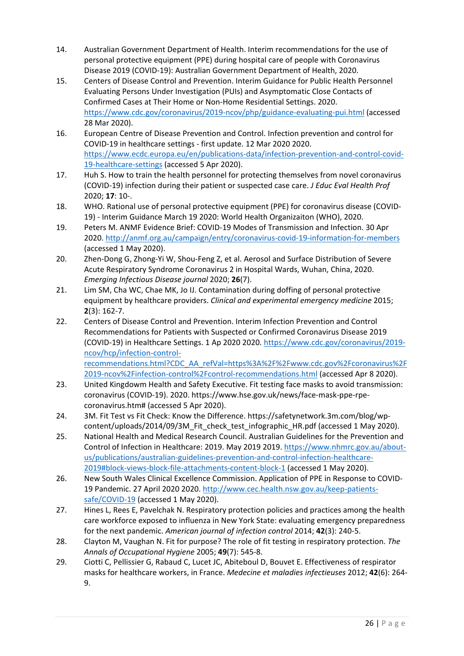- 14. Australian Government Department of Health. Interim recommendations for the use of personal protective equipment (PPE) during hospital care of people with Coronavirus Disease 2019 (COVID-19): Australian Government Department of Health, 2020.
- 15. Centers of Disease Control and Prevention. Interim Guidance for Public Health Personnel Evaluating Persons Under Investigation (PUIs) and Asymptomatic Close Contacts of Confirmed Cases at Their Home or Non-Home Residential Settings. 2020. <https://www.cdc.gov/coronavirus/2019-ncov/php/guidance-evaluating-pui.html> (accessed 28 Mar 2020).
- 16. European Centre of Disease Prevention and Control. Infection prevention and control for COVID-19 in healthcare settings - first update. 12 Mar 2020 2020. [https://www.ecdc.europa.eu/en/publications-data/infection-prevention-and-control-covid-](https://www.ecdc.europa.eu/en/publications-data/infection-prevention-and-control-covid-19-healthcare-settings)[19-healthcare-settings](https://www.ecdc.europa.eu/en/publications-data/infection-prevention-and-control-covid-19-healthcare-settings) (accessed 5 Apr 2020).
- 17. Huh S. How to train the health personnel for protecting themselves from novel coronavirus (COVID-19) infection during their patient or suspected case care. *J Educ Eval Health Prof* 2020; **17**: 10-.
- 18. WHO. Rational use of personal protective equipment (PPE) for coronavirus disease (COVID-19) - Interim Guidance March 19 2020: World Health Organizaiton (WHO), 2020.
- 19. Peters M. ANMF Evidence Brief: COVID-19 Modes of Transmission and Infection. 30 Apr 2020[. http://anmf.org.au/campaign/entry/coronavirus-covid-19-information-for-members](http://anmf.org.au/campaign/entry/coronavirus-covid-19-information-for-members) (accessed 1 May 2020).
- 20. Zhen-Dong G, Zhong-Yi W, Shou-Feng Z, et al. Aerosol and Surface Distribution of Severe Acute Respiratory Syndrome Coronavirus 2 in Hospital Wards, Wuhan, China, 2020. *Emerging Infectious Disease journal* 2020; **26**(7).
- 21. Lim SM, Cha WC, Chae MK, Jo IJ. Contamination during doffing of personal protective equipment by healthcare providers. *Clinical and experimental emergency medicine* 2015; **2**(3): 162-7.
- 22. Centers of Disease Control and Prevention. Interim Infection Prevention and Control Recommendations for Patients with Suspected or Confirmed Coronavirus Disease 2019 (COVID-19) in Healthcare Settings. 1 Ap 2020 2020[. https://www.cdc.gov/coronavirus/2019](https://www.cdc.gov/coronavirus/2019-ncov/hcp/infection-control-recommendations.html?CDC_AA_refVal=https%3A%2F%2Fwww.cdc.gov%2Fcoronavirus%2F2019-ncov%2Finfection-control%2Fcontrol-recommendations.html) [ncov/hcp/infection-control](https://www.cdc.gov/coronavirus/2019-ncov/hcp/infection-control-recommendations.html?CDC_AA_refVal=https%3A%2F%2Fwww.cdc.gov%2Fcoronavirus%2F2019-ncov%2Finfection-control%2Fcontrol-recommendations.html)[recommendations.html?CDC\\_AA\\_refVal=https%3A%2F%2Fwww.cdc.gov%2Fcoronavirus%2F](https://www.cdc.gov/coronavirus/2019-ncov/hcp/infection-control-recommendations.html?CDC_AA_refVal=https%3A%2F%2Fwww.cdc.gov%2Fcoronavirus%2F2019-ncov%2Finfection-control%2Fcontrol-recommendations.html)
- [2019-ncov%2Finfection-control%2Fcontrol-recommendations.html](https://www.cdc.gov/coronavirus/2019-ncov/hcp/infection-control-recommendations.html?CDC_AA_refVal=https%3A%2F%2Fwww.cdc.gov%2Fcoronavirus%2F2019-ncov%2Finfection-control%2Fcontrol-recommendations.html) (accessed Apr 8 2020). 23. United Kingdowm Health and Safety Executive. Fit testing face masks to avoid transmission: coronavirus (COVID-19). 2020. https://www.hse.gov.uk/news/face-mask-ppe-rpecoronavirus.htm# (accessed 5 Apr 2020).
- 24. 3M. Fit Test vs Fit Check: Know the Difference. https://safetynetwork.3m.com/blog/wpcontent/uploads/2014/09/3M\_Fit\_check\_test\_infographic\_HR.pdf (accessed 1 May 2020).
- 25. National Health and Medical Research Council. Australian Guidelines for the Prevention and Control of Infection in Healthcare: 2019. May 2019 2019. [https://www.nhmrc.gov.au/about](https://www.nhmrc.gov.au/about-us/publications/australian-guidelines-prevention-and-control-infection-healthcare-2019#block-views-block-file-attachments-content-block-1)[us/publications/australian-guidelines-prevention-and-control-infection-healthcare-](https://www.nhmrc.gov.au/about-us/publications/australian-guidelines-prevention-and-control-infection-healthcare-2019#block-views-block-file-attachments-content-block-1)[2019#block-views-block-file-attachments-content-block-1](https://www.nhmrc.gov.au/about-us/publications/australian-guidelines-prevention-and-control-infection-healthcare-2019#block-views-block-file-attachments-content-block-1) (accessed 1 May 2020).
- 26. New South Wales Clinical Excellence Commission. Application of PPE in Response to COVID-19 Pandemic. 27 April 2020 2020. [http://www.cec.health.nsw.gov.au/keep-patients](http://www.cec.health.nsw.gov.au/keep-patients-safe/COVID-19)[safe/COVID-19](http://www.cec.health.nsw.gov.au/keep-patients-safe/COVID-19) (accessed 1 May 2020).
- 27. Hines L, Rees E, Pavelchak N. Respiratory protection policies and practices among the health care workforce exposed to influenza in New York State: evaluating emergency preparedness for the next pandemic. *American journal of infection control* 2014; **42**(3): 240-5.
- 28. Clayton M, Vaughan N. Fit for purpose? The role of fit testing in respiratory protection. *The Annals of Occupational Hygiene* 2005; **49**(7): 545-8.
- 29. Ciotti C, Pellissier G, Rabaud C, Lucet JC, Abiteboul D, Bouvet E. Effectiveness of respirator masks for healthcare workers, in France. *Medecine et maladies infectieuses* 2012; **42**(6): 264- 9.